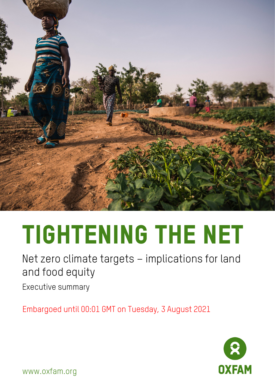

## Tightening the net

Net zero climate targets – implications for land and food equity

Executive summary

Embargoed until 00:01 GMT on Tuesday, 3 August 2021



www.oxfam.org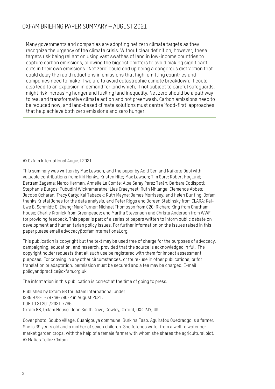Many governments and companies are adopting net zero climate targets as they recognize the urgency of the climate crisis. Without clear definition, however, these targets risk being reliant on using vast swathes of land in low-income countries to capture carbon emissions, allowing the biggest emitters to avoid making significant cuts in their own emissions. 'Net zero' could end up being a dangerous distraction that could delay the rapid reductions in emissions that high-emitting countries and companies need to make if we are to avoid catastrophic climate breakdown. It could also lead to an explosion in demand for land which, if not subject to careful safeguards, might risk increasing hunger and fuelling land inequality. Net zero should be a pathway to real and transformative climate action and not greenwash. Carbon emissions need to be reduced now, and land-based climate solutions must centre 'food-first' approaches that help achieve both zero emissions and zero hunger.

© Oxfam International August 2021

This summary was written by Max Lawson, and the paper by Aditi Sen and Nafkote Dabi with valuable contributions from: Kiri Hanks; Kristen Hite; Max Lawson; Tim Gore; Robert Hoglund; Bertram Zagema; Marco Herman, Armelle Le Comte; Alba Saray Pérez Terán; Barbara Codispoti; Stephanie Burgos; Pubudini Wickramaratne; Lies Craeynest; Ruth Mhlanga; Clemence Abbes; Jacobo Ocharan; Tracy Carty; Kai Tabacek; Ruth Mayne; James Morrissey; and Helen Bunting. Oxfam thanks Kristal Jones for the data analysis, and Peter Riggs and Doreen Stabinsky from CLARA; Kai-Uwe B. Schmidt; Qi Zheng; Mark Turner; Michael Thompson from C2G; Richard King from Chatham House; Charlie Kronick from Greenpeace; and Martha Stevenson and Christa Anderson from WWF for providing feedback. This paper is part of a series of papers written to inform public debate on development and humanitarian policy issues. For further information on the issues raised in this paper please email [advocacy@oxfaminternational.org.](mailto:advocacy@oxfaminternational.org)

This publication is copyright but the text may be used free of charge for the purposes of advocacy, campaigning, education, and research, provided that the source is acknowledged in full. The copyright holder requests that all such use be registered with them for impact assessment purposes. For copying in any other circumstances, or for re-use in other publications, or for translation or adaptation, permission must be secured and a fee may be charged. E-mail policyandpractice@oxfam.org.uk.

The information in this publication is correct at the time of going to press.

Published by Oxfam GB for Oxfam International under ISBN 978-1-78748-780-2 in August 2021. DOI: 10.21201/2021.7796 Oxfam GB, Oxfam House, John Smith Drive, Cowley, Oxford, OX4 2JY, UK.

Cover photo: Soubo village, Ouahigouya commune, Burkina Faso. Aguiratou Ouedraogo is a farmer. She is 39 years old and a mother of seven children. She fetches water from a well to water her market garden crops, with the help of a female farmer with whom she shares the agricultural plot. © Matias Tellez/Oxfam.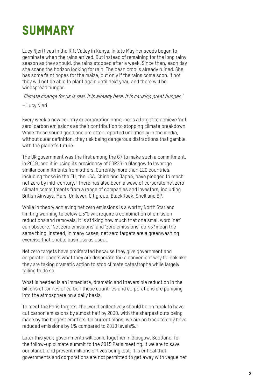## SUMMARY

Lucy Njeri lives in the Rift Valley in Kenya. In late May her seeds began to germinate when the rains arrived. But instead of remaining for the long rainy season as they should, the rains stopped after a week. Since then, each day she scans the horizon looking for rain. The bean crop is already ruined. She has some faint hopes for the maize, but only if the rains come soon. If not they will not be able to plant again until next year, and there will be widespread hunger.

'Climate change for us is real. It is already here. It is causing great hunger.'

– Lucy Njeri

Every week a new country or corporation announces a target to achieve 'net zero' carbon emissions as their contribution to stopping climate breakdown. While these sound good and are often reported uncritically in the media, without clear definition, they risk being dangerous distractions that gamble with the planet's future.

The UK government was the first among the G7 to make such a commitment, in 2019, and it is using its presidency of COP26 in Glasgow to leverage similar commitments from others. Currently more than 120 countries, including those in the EU, the USA, China and Japan, have pledged to reach net zero by mid-century. [1](#page-6-0) There has also been a wave of corporate net zero climate commitments from a range of companies and investors, including British Airways, Mars, Unilever, Citigroup, BlackRock, Shell and BP.

While in theory achieving net zero emissions is a worthy North Star and limiting warming to below 1.5°C will require a combination of emission reductions and removals, it is striking how much that one small word 'net' can obscure. 'Net zero emissions' and 'zero emissions' do not mean the same thing. Instead, in many cases, net zero targets are a greenwashing exercise that enable business as usual.

Net zero targets have proliferated because they give government and corporate leaders what they are desperate for: a convenient way to look like they are taking dramatic action to stop climate catastrophe while largely failing to do so.

What is needed is an immediate, dramatic and irreversible reduction in the billions of tonnes of carbon these countries and corporations are pumping into the atmosphere on a daily basis.

To meet the Paris targets, the world collectively should be on track to have cut carbon emissions by almost half by 2030, with the sharpest cuts being made by the biggest emitters. On current plans, we are on track to only have reduced emissions by  $1\%$  compared to [2](#page-6-1)010 levels%.<sup>2</sup>

Later this year, governments will come together in Glasgow, Scotland, for the follow-up climate summit to the 2015 Paris meeting. If we are to save our planet, and prevent millions of lives being lost, it is critical that governments and corporations are not permitted to get away with vague net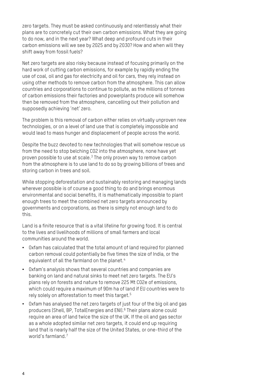zero targets. They must be asked continuously and relentlessly what their plans are to concretely cut their own carbon emissions. What they are going to do now, and in the next year? What deep and profound cuts in their carbon emissions will we see by 2025 and by 2030? How and when will they shift away from fossil fuels?

Net zero targets are also risky because instead of focusing primarily on the hard work of cutting carbon emissions, for example by rapidly ending the use of coal, oil and gas for electricity and oil for cars, they rely instead on using other methods to remove carbon from the atmosphere. This can allow countries and corporations to continue to pollute, as the millions of tonnes of carbon emissions their factories and powerplants produce will somehow then be removed from the atmosphere, cancelling out their pollution and supposedly achieving 'net' zero.

The problem is this removal of carbon either relies on virtually unproven new technologies, or on a level of land use that is completely impossible and would lead to mass hunger and displacement of people across the world.

Despite the buzz devoted to new technologies that will somehow rescue us from the need to stop belching CO2 into the atmosphere, none have yet proven possible to use at scale.[3](#page-6-2) The only proven way to remove carbon from the atmosphere is to use land to do so by growing billions of trees and storing carbon in trees and soil.

While stopping deforestation and sustainably restoring and managing lands wherever possible is of course a good thing to do and brings enormous environmental and social benefits, it is mathematically impossible to plant enough trees to meet the combined net zero targets announced by governments and corporations, as there is simply not enough land to do this.

Land is a finite resource that is a vital lifeline for growing food. It is central to the lives and livelihoods of millions of small farmers and local communities around the world.

- Oxfam has calculated that the total amount of land required for planned carbon removal could potentially be five times the size of India, or the equivalent of all the farmland on the planet.<sup>[4](#page-6-3)</sup>
- Oxfam's analysis shows that several countries and companies are banking on land and natural sinks to meet net zero targets. The EU's plans rely on forests and nature to remove 225 Mt CO2e of emissions, which could require a maximum of 90m ha of land if EU countries were to rely solely on afforestation to meet this target.<sup>[5](#page-6-4)</sup>
- Oxfam has analysed the net zero targets of just four of the big oil and gas producers (Shell, BP, TotalEnergies and ENI).<sup>[6](#page-6-5)</sup> Their plans alone could require an area of land twice the size of the UK. If the oil and gas sector as a whole adopted similar net zero targets, it could end up requiring land that is nearly half the size of the United States, or one-third of the world's farmland<sup>[7](#page-6-6)</sup>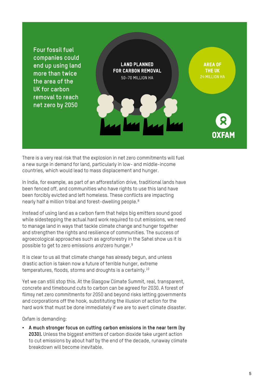

There is a very real risk that the explosion in net zero commitments will fuel a new surge in demand for land, particularly in low- and middle-income countries, which would lead to mass displacement and hunger.

In India, for example, as part of an afforestation drive, traditional lands have been fenced off, and communities who have rights to use this land have been forcibly evicted and left homeless. These conflicts are impacting nearly half a million tribal and forest-dwelling people.[8](#page-6-7)

Instead of using land as a carbon farm that helps big emitters sound good while sidestepping the actual hard work required to cut emissions, we need to manage land in ways that tackle climate change and hunger together and strengthen the rights and resilience of communities. The success of agroecological approaches such as agroforestry in the Sahel show us it is possible to get to zero emissions *and* zero hunger.<sup>[9](#page-6-8)</sup>

It is clear to us all that climate change has already begun, and unless drastic action is taken now a future of terrible hunger, extreme temperatures, floods, storms and droughts is a certainty.[10](#page-6-9)

Yet we can still stop this. At the Glasgow Climate Summit, real, transparent, concrete and timebound cuts to carbon can be agreed for 2030. A forest of flimsy net zero commitments for 2050 and beyond risks letting governments and corporations off the hook, substituting the illusion of action for the hard work that must be done immediately if we are to avert climate disaster.

Oxfam is demanding:

• **A much stronger focus on cutting carbon emissions in the near term (by 2030).** Unless the biggest emitters of carbon dioxide take urgent action to cut emissions by about half by the end of the decade, runaway climate breakdown will become inevitable.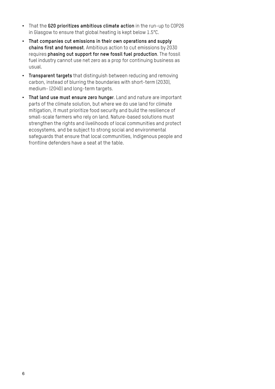- That the **G20 prioritizes ambitious climate action** in the run-up to COP26 in Glasgow to ensure that global heating is kept below 1.5°C.
- **That companies cut emissions in their own operations and supply chains first and foremost**. Ambitious action to cut emissions by 2030 requires **phasing out support for new fossil fuel production**. The fossil fuel industry cannot use net zero as a prop for continuing business as usual.
- **Transparent targets** that distinguish between reducing and removing carbon, instead of blurring the boundaries with short-term (2030), medium- (2040) and long-term targets.
- **That land use must ensure zero hunger**. Land and nature are important parts of the climate solution, but where we do use land for climate mitigation, it must prioritize food security and build the resilience of small-scale farmers who rely on land. Nature-based solutions must strengthen the rights and livelihoods of local communities and protect ecosystems, and be subject to strong social and environmental safeguards that ensure that local communities, Indigenous people and frontline defenders have a seat at the table.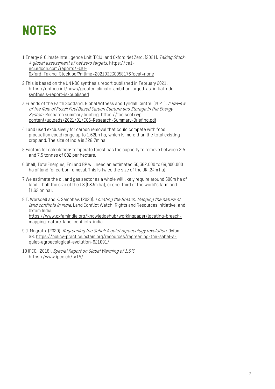## **NOTES**

- <span id="page-6-0"></span>1 Energy & Climate Intelligence Unit (ECIU) and Oxford Net Zero. (2021). Taking Stock: A global assessment of net zero targets[. https://ca1](https://ca1-eci.edcdn.com/reports/ECIU-Oxford_Taking_Stock.pdf?mtime=20210323005817&focal=none) [eci.edcdn.com/reports/ECIU-](https://ca1-eci.edcdn.com/reports/ECIU-Oxford_Taking_Stock.pdf?mtime=20210323005817&focal=none)[Oxford\\_Taking\\_Stock.pdf?mtime=20210323005817&focal=none](https://ca1-eci.edcdn.com/reports/ECIU-Oxford_Taking_Stock.pdf?mtime=20210323005817&focal=none)
- <span id="page-6-1"></span>2 This is based on the UN NDC synthesis report published in February 2021: [https://unfccc.int/news/greater-climate-ambition-urged-as-initial-ndc](https://unfccc.int/news/greater-climate-ambition-urged-as-initial-ndc-synthesis-report-is-published)[synthesis-report-is-published](https://unfccc.int/news/greater-climate-ambition-urged-as-initial-ndc-synthesis-report-is-published)
- <span id="page-6-2"></span>3 Friends of the Earth Scotland, Global Witness and Tyndall Centre. (2021). A Review of the Role of Fossil Fuel Based Carbon Capture and Storage in the Energy System. Research summary briefing. [https://foe.scot/wp](https://foe.scot/wp-content/uploads/2021/01/CCS-Research-Summary-Briefing.pdf)[content/uploads/2021/01/CCS-Research-Summary-Briefing.pdf](https://foe.scot/wp-content/uploads/2021/01/CCS-Research-Summary-Briefing.pdf)
- <span id="page-6-3"></span>4 Land used exclusively for carbon removal that could compete with food production could range up to 1.62bn ha, which is more than the total existing cropland. The size of India is 328.7m ha.
- <span id="page-6-4"></span>5 Factors for calculation: temperate forest has the capacity to remove between 2.5 and 7.5 tonnes of CO2 per hectare.
- <span id="page-6-5"></span>6 Shell, TotalEnergies, Eni and BP will need an estimated 50,362,000 to 69,400,000 ha of land for carbon removal. This is twice the size of the UK (24m ha).
- <span id="page-6-6"></span>7 We estimate the oil and gas sector as a whole will likely require around 500m ha of land – half the size of the US (983m ha), or one-third of the world's farmland (1.62 bn ha).
- <span id="page-6-7"></span>8 T. Worsdell and K. Sambhav. (2020). Locating the Breach: Mapping the nature of land conflicts in India. Land Conflict Watch, Rights and Resources Initiative, and Oxfam India.

[https://www.oxfamindia.org/knowledgehub/workingpaper/locating-breach](https://www.oxfamindia.org/knowledgehub/workingpaper/locating-breach-mapping-nature-land-conflicts-india)[mapping-nature-land-conflicts-india](https://www.oxfamindia.org/knowledgehub/workingpaper/locating-breach-mapping-nature-land-conflicts-india)

- <span id="page-6-8"></span>9 J. Magrath. (2020). Regreening the Sahel: A quiet agroecology revolution. Oxfam GB. [https://policy-practice.oxfam.org/resources/regreening-the-sahel-a](https://policy-practice.oxfam.org/resources/regreening-the-sahel-a-quiet-agroecological-evolution-621091/)[quiet-agroecological-evolution-621091/](https://policy-practice.oxfam.org/resources/regreening-the-sahel-a-quiet-agroecological-evolution-621091/)
- <span id="page-6-9"></span>10 IPCC. (2018). Special Report on Global Warming of 1.5°C. <https://www.ipcc.ch/sr15/>